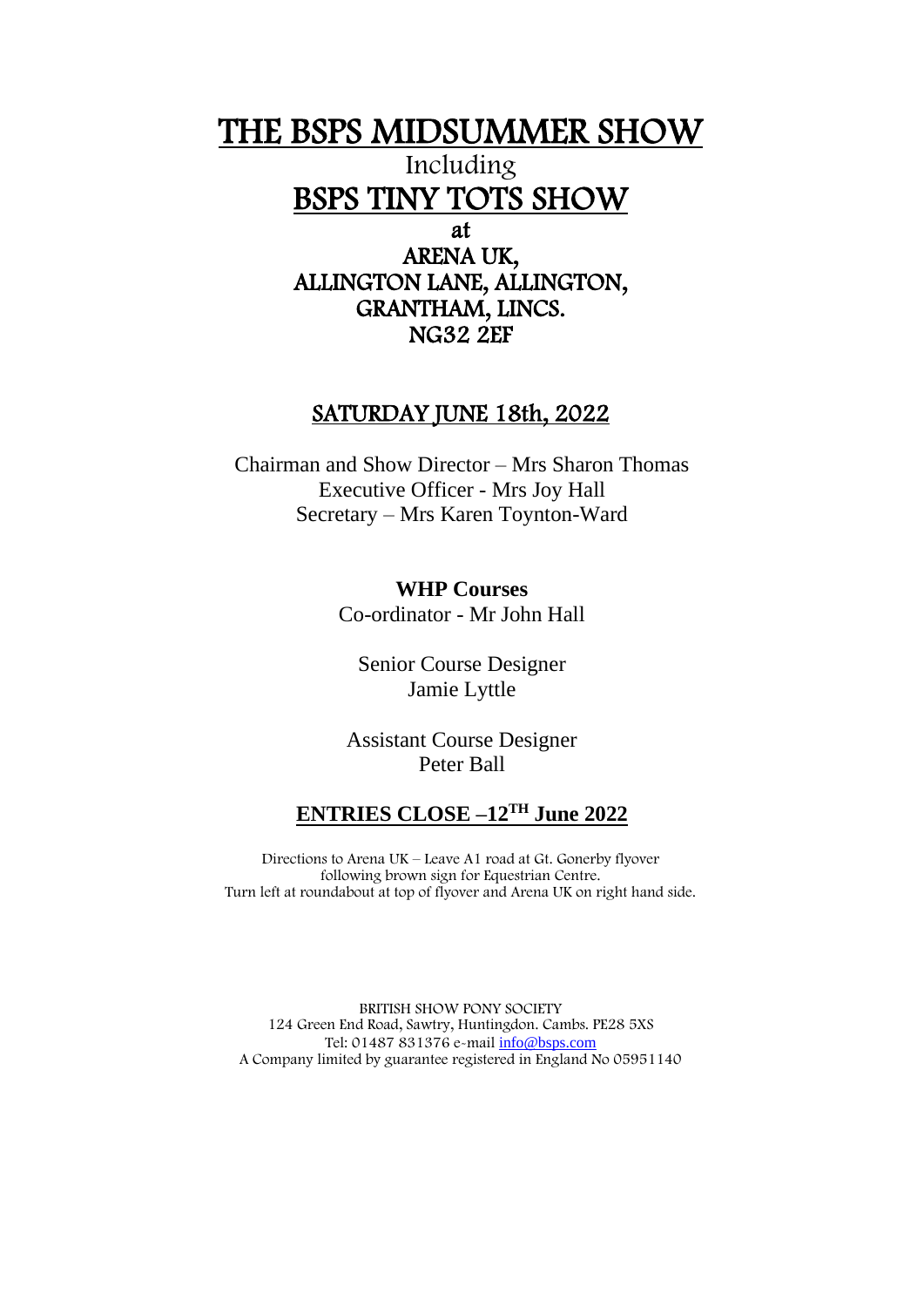## THE BSPS MIDSUMMER SHOW

Including BSPS TINY TOTS SHOW

at

ARENA UK, ALLINGTON LANE, ALLINGTON, GRANTHAM, LINCS. NG32 2EF

### SATURDAY JUNE 18th, 2022

Chairman and Show Director – Mrs Sharon Thomas Executive Officer - Mrs Joy Hall Secretary – Mrs Karen Toynton-Ward

> **WHP Courses** Co-ordinator - Mr John Hall

Senior Course Designer Jamie Lyttle

Assistant Course Designer Peter Ball

### **ENTRIES CLOSE –12TH June 2022**

Directions to Arena UK – Leave A1 road at Gt. Gonerby flyover following brown sign for Equestrian Centre. Turn left at roundabout at top of flyover and Arena UK on right hand side.

BRITISH SHOW PONY SOCIETY 124 Green End Road, Sawtry, Huntingdon. Cambs. PE28 5XS Tel: 01487 831376 e-mail [info@bsps.com](mailto:info@bsps.com) A Company limited by guarantee registered in England No 05951140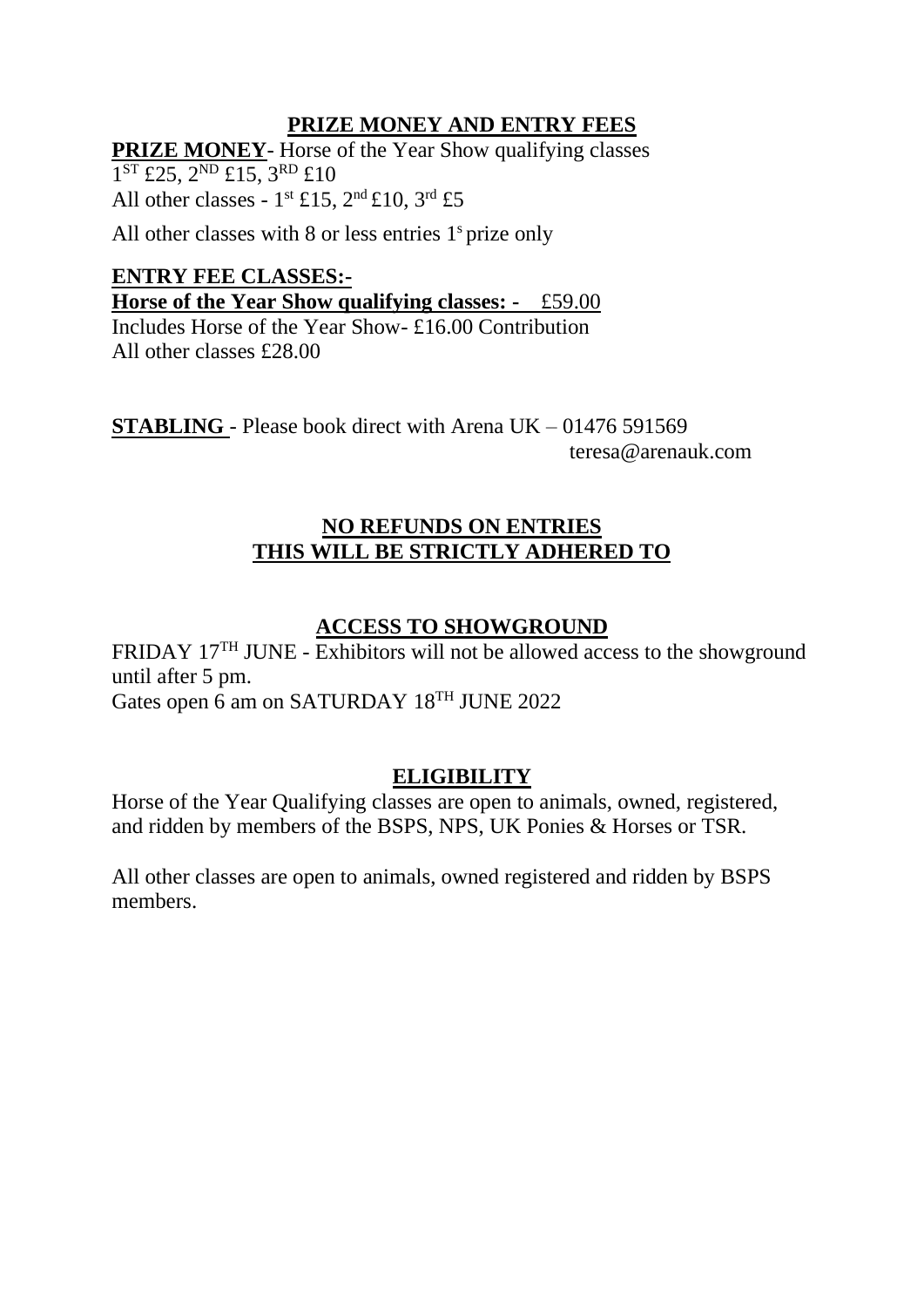### **PRIZE MONEY AND ENTRY FEES**

**PRIZE MONEY**- Horse of the Year Show qualifying classes 1<sup>ST</sup> £25, 2<sup>ND</sup> £15, 3<sup>RD</sup> £10 All other classes -  $1^{st}$  £15,  $2^{nd}$  £10,  $3^{rd}$  £5

All other classes with 8 or less entries 1<sup>s</sup> prize only

### **ENTRY FEE CLASSES:-**

**Horse of the Year Show qualifying classes: -** £59.00

Includes Horse of the Year Show- £16.00 Contribution All other classes £28.00

**STABLING** - Please book direct with Arena UK – 01476 591569 teresa@arenauk.com

### **NO REFUNDS ON ENTRIES THIS WILL BE STRICTLY ADHERED TO**

### **ACCESS TO SHOWGROUND**

FRIDAY 17<sup>TH</sup> JUNE - Exhibitors will not be allowed access to the showground until after 5 pm. Gates open 6 am on SATURDAY 18<sup>TH</sup> JUNE 2022

### **ELIGIBILITY**

Horse of the Year Qualifying classes are open to animals, owned, registered, and ridden by members of the BSPS, NPS, UK Ponies & Horses or TSR.

All other classes are open to animals, owned registered and ridden by BSPS members.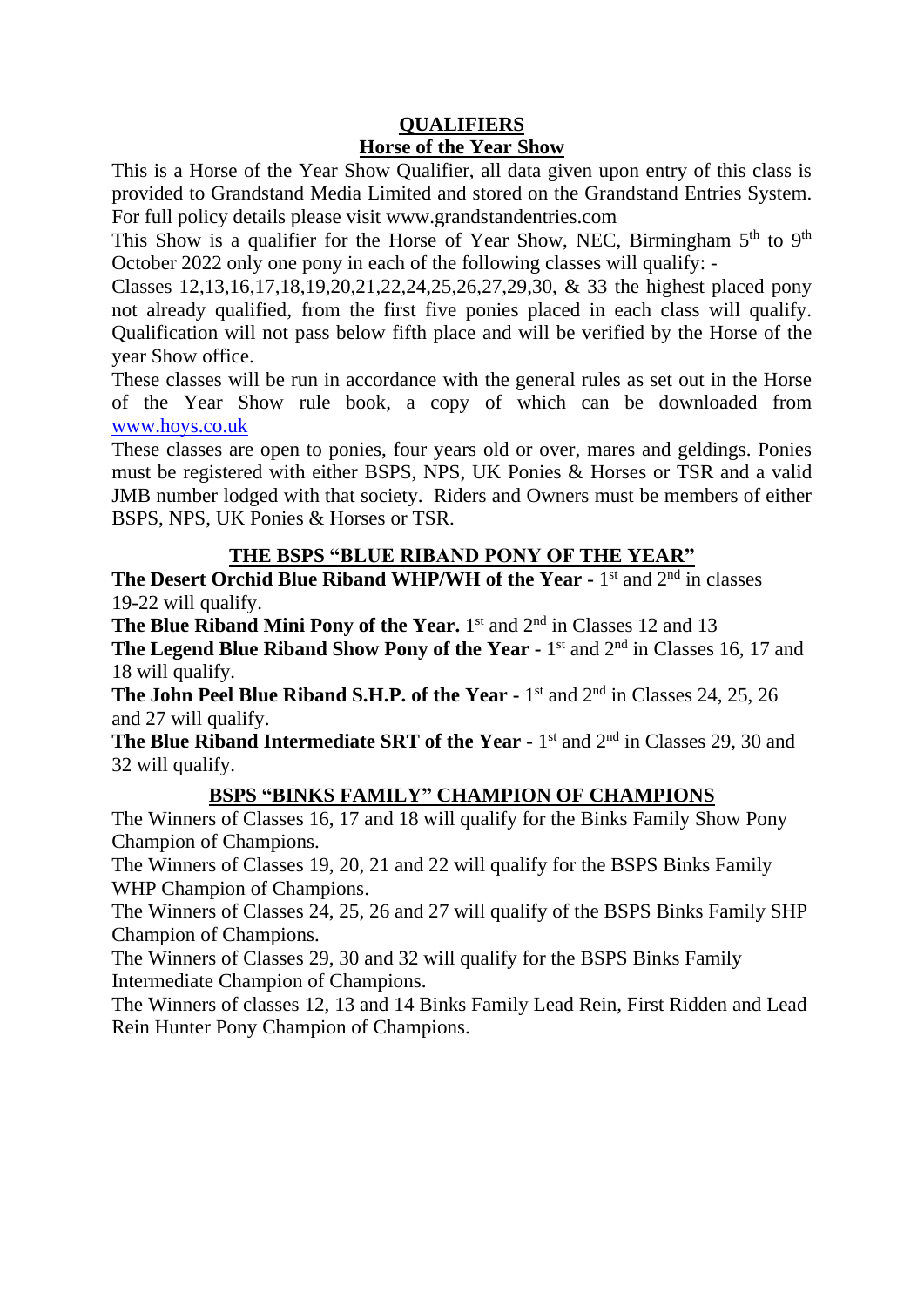### **QUALIFIERS Horse of the Year Show**

This is a Horse of the Year Show Qualifier, all data given upon entry of this class is provided to Grandstand Media Limited and stored on the Grandstand Entries System. For full policy details please visit www.grandstandentries.com

This Show is a qualifier for the Horse of Year Show, NEC, Birmingham  $5<sup>th</sup>$  to  $9<sup>th</sup>$ October 2022 only one pony in each of the following classes will qualify: -

Classes 12,13,16,17,18,19,20,21,22,24,25,26,27,29,30, & 33 the highest placed pony not already qualified, from the first five ponies placed in each class will qualify. Qualification will not pass below fifth place and will be verified by the Horse of the year Show office.

These classes will be run in accordance with the general rules as set out in the Horse of the Year Show rule book, a copy of which can be downloaded from [www.hoys.co.uk](http://www.hoys.co.uk/)

These classes are open to ponies, four years old or over, mares and geldings. Ponies must be registered with either BSPS, NPS, UK Ponies & Horses or TSR and a valid JMB number lodged with that society. Riders and Owners must be members of either BSPS, NPS, UK Ponies & Horses or TSR.

### **THE BSPS "BLUE RIBAND PONY OF THE YEAR"**

**The Desert Orchid Blue Riband WHP/WH of the Year - 1st and 2<sup>nd</sup> in classes** 19-22 will qualify.

**The Blue Riband Mini Pony of the Year.** 1<sup>st</sup> and 2<sup>nd</sup> in Classes 12 and 13

**The Legend Blue Riband Show Pony of the Year - 1st and 2<sup>nd</sup> in Classes 16, 17 and** 18 will qualify.

**The John Peel Blue Riband S.H.P. of the Year -** 1 st and 2nd in Classes 24, 25, 26 and 27 will qualify.

**The Blue Riband Intermediate SRT of the Year -** 1<sup>st</sup> and 2<sup>nd</sup> in Classes 29, 30 and 32 will qualify.

### **BSPS "BINKS FAMILY" CHAMPION OF CHAMPIONS**

The Winners of Classes 16, 17 and 18 will qualify for the Binks Family Show Pony Champion of Champions.

The Winners of Classes 19, 20, 21 and 22 will qualify for the BSPS Binks Family WHP Champion of Champions.

The Winners of Classes 24, 25, 26 and 27 will qualify of the BSPS Binks Family SHP Champion of Champions.

The Winners of Classes 29, 30 and 32 will qualify for the BSPS Binks Family Intermediate Champion of Champions.

The Winners of classes 12, 13 and 14 Binks Family Lead Rein, First Ridden and Lead Rein Hunter Pony Champion of Champions.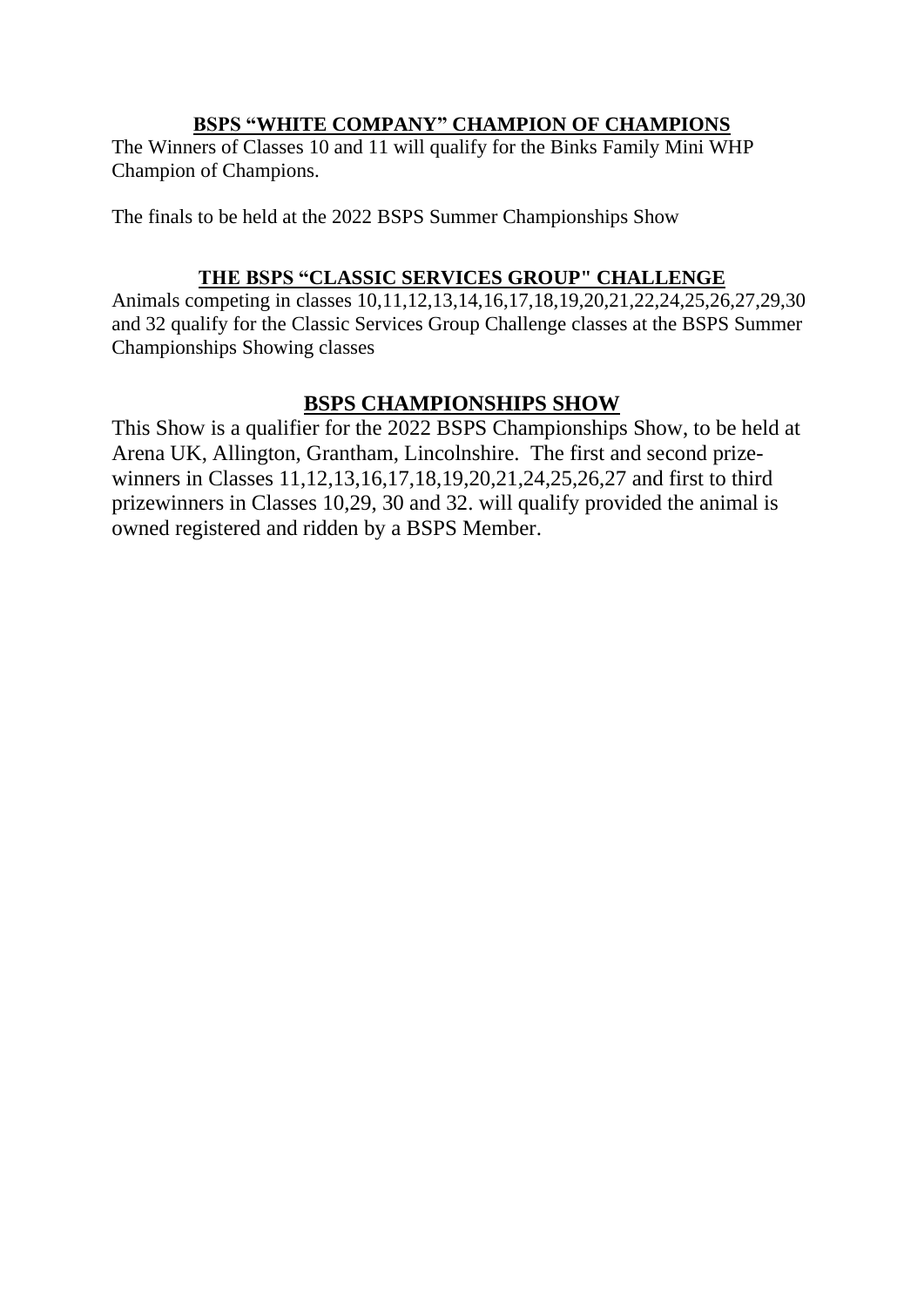### **BSPS "WHITE COMPANY" CHAMPION OF CHAMPIONS**

The Winners of Classes 10 and 11 will qualify for the Binks Family Mini WHP Champion of Champions.

The finals to be held at the 2022 BSPS Summer Championships Show

### **THE BSPS "CLASSIC SERVICES GROUP" CHALLENGE**

Animals competing in classes 10,11,12,13,14,16,17,18,19,20,21,22,24,25,26,27,29,30 and 32 qualify for the Classic Services Group Challenge classes at the BSPS Summer Championships Showing classes

### **BSPS CHAMPIONSHIPS SHOW**

This Show is a qualifier for the 2022 BSPS Championships Show, to be held at Arena UK, Allington, Grantham, Lincolnshire. The first and second prizewinners in Classes 11,12,13,16,17,18,19,20,21,24,25,26,27 and first to third prizewinners in Classes 10,29, 30 and 32. will qualify provided the animal is owned registered and ridden by a BSPS Member.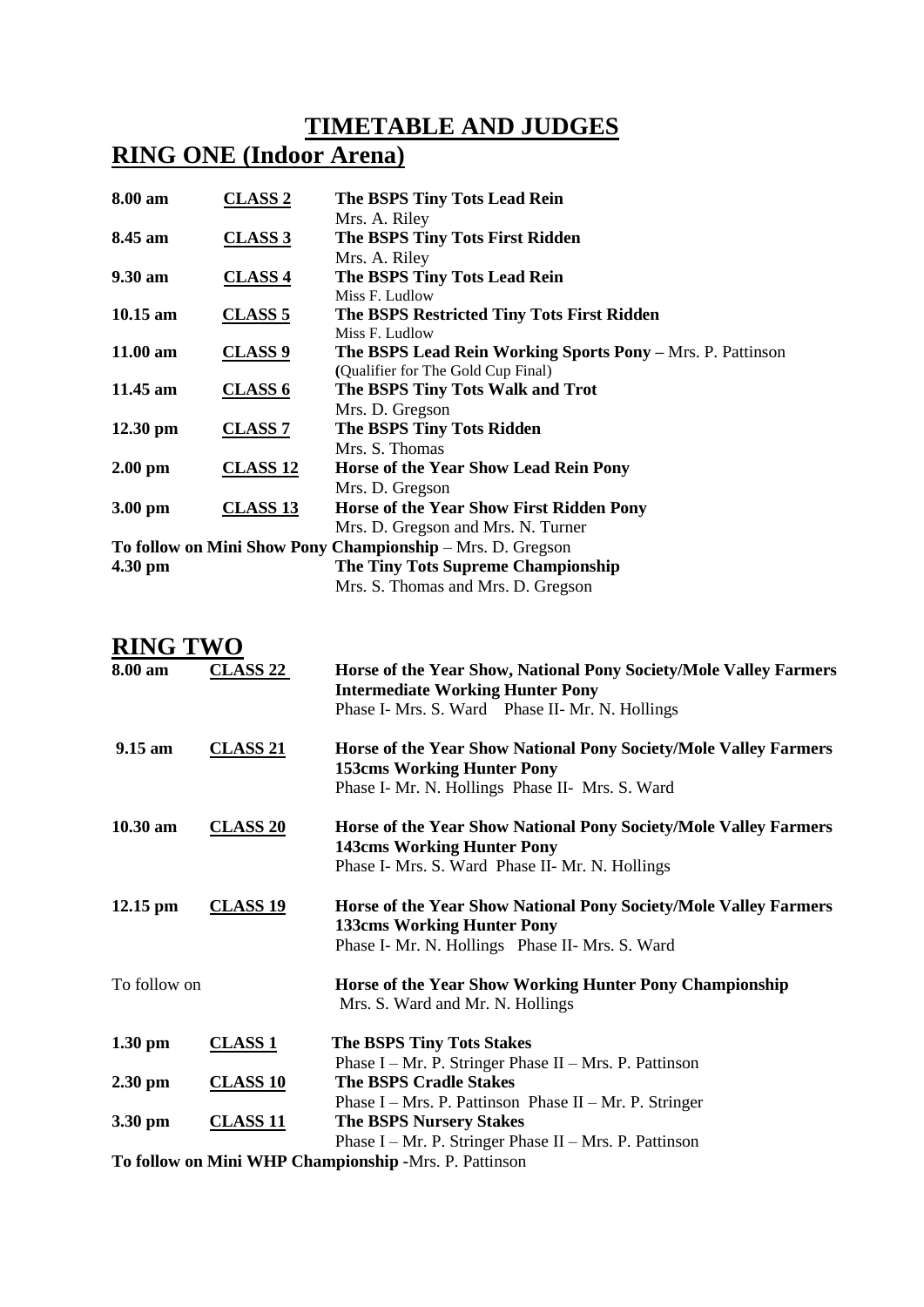## **TIMETABLE AND JUDGES**

## **RING ONE (Indoor Arena)**

| 8.00 am                                       | <b>CLASS 2</b>  | The BSPS Tiny Tots Lead Rein                                      |
|-----------------------------------------------|-----------------|-------------------------------------------------------------------|
|                                               |                 | Mrs. A. Riley                                                     |
| 8.45 am                                       | <b>CLASS 3</b>  | The BSPS Tiny Tots First Ridden                                   |
|                                               |                 | Mrs. A. Riley                                                     |
| $9.30 \text{ am}$                             | <b>CLASS 4</b>  | The BSPS Tiny Tots Lead Rein                                      |
|                                               |                 | Miss F. Ludlow                                                    |
| $10.15$ am                                    | <b>CLASS 5</b>  | The BSPS Restricted Tiny Tots First Ridden                        |
|                                               |                 | Miss F. Ludlow                                                    |
| $11.00 \text{ am}$                            | <b>CLASS 9</b>  | <b>The BSPS Lead Rein Working Sports Pony – Mrs. P. Pattinson</b> |
|                                               |                 | (Qualifier for The Gold Cup Final)                                |
| $11.45$ am                                    | <b>CLASS 6</b>  | The BSPS Tiny Tots Walk and Trot                                  |
|                                               |                 | Mrs. D. Gregson                                                   |
| $12.30 \text{ pm}$                            | <b>CLASS 7</b>  | The BSPS Tiny Tots Ridden                                         |
|                                               |                 | Mrs. S. Thomas                                                    |
| $2.00$ pm                                     | <b>CLASS 12</b> | Horse of the Year Show Lead Rein Pony                             |
|                                               |                 | Mrs. D. Gregson                                                   |
| $3.00 \text{ pm}$                             | <b>CLASS 13</b> | Horse of the Year Show First Ridden Pony                          |
|                                               |                 | Mrs. D. Gregson and Mrs. N. Turner                                |
|                                               |                 | To follow on Mini Show Pony Championship – Mrs. D. Gregson        |
| The Tiny Tots Supreme Championship<br>4.30 pm |                 |                                                                   |
|                                               |                 | Mrs. S. Thomas and Mrs. D. Gregson                                |

| <b>RING TWO</b>             |                                               |                                                                                                                                                                 |
|-----------------------------|-----------------------------------------------|-----------------------------------------------------------------------------------------------------------------------------------------------------------------|
| 8.00 am                     | <b>CLASS 22</b>                               | Horse of the Year Show, National Pony Society/Mole Valley Farmers<br><b>Intermediate Working Hunter Pony</b><br>Phase I- Mrs. S. Ward Phase II- Mr. N. Hollings |
| $9.15 \text{ am}$           | <b>CLASS 21</b>                               | Horse of the Year Show National Pony Society/Mole Valley Farmers<br><b>153cms Working Hunter Pony</b><br>Phase I- Mr. N. Hollings Phase II- Mrs. S. Ward        |
|                             |                                               |                                                                                                                                                                 |
| $10.30$ am                  | <b>CLASS 20</b>                               | Horse of the Year Show National Pony Society/Mole Valley Farmers<br><b>143cms Working Hunter Pony</b>                                                           |
|                             |                                               | Phase I- Mrs. S. Ward Phase II- Mr. N. Hollings                                                                                                                 |
| $12.15$ pm                  | <b>CLASS 19</b>                               | Horse of the Year Show National Pony Society/Mole Valley Farmers<br><b>133cms Working Hunter Pony</b><br>Phase I- Mr. N. Hollings Phase II- Mrs. S. Ward        |
|                             |                                               |                                                                                                                                                                 |
| To follow on                |                                               | Horse of the Year Show Working Hunter Pony Championship<br>Mrs. S. Ward and Mr. N. Hollings                                                                     |
| $1.30 \text{ pm}$           | <b>CLASS 1</b>                                | <b>The BSPS Tiny Tots Stakes</b>                                                                                                                                |
|                             |                                               | Phase I – Mr. P. Stringer Phase II – Mrs. P. Pattinson                                                                                                          |
| $2.30$ pm                   | <b>CLASS 10</b>                               | <b>The BSPS Cradle Stakes</b>                                                                                                                                   |
|                             |                                               | Phase I – Mrs. P. Pattinson Phase II – Mr. P. Stringer                                                                                                          |
| 3.30 pm                     | <b>CLASS 11</b>                               | <b>The BSPS Nursery Stakes</b>                                                                                                                                  |
| $\mathbf{m}$ e $\mathbf{m}$ | $\mathbf{M}^{\bullet}$ $\mathbf{M}^{\bullet}$ | Phase $I - Mr$ . P. Stringer Phase $II - Mrs$ . P. Pattinson<br>$\mathbf{1}$ , $\mathbf{1}$ , $\mathbf{1}$                                                      |

**To follow on Mini WHP Championship -**Mrs. P. Pattinson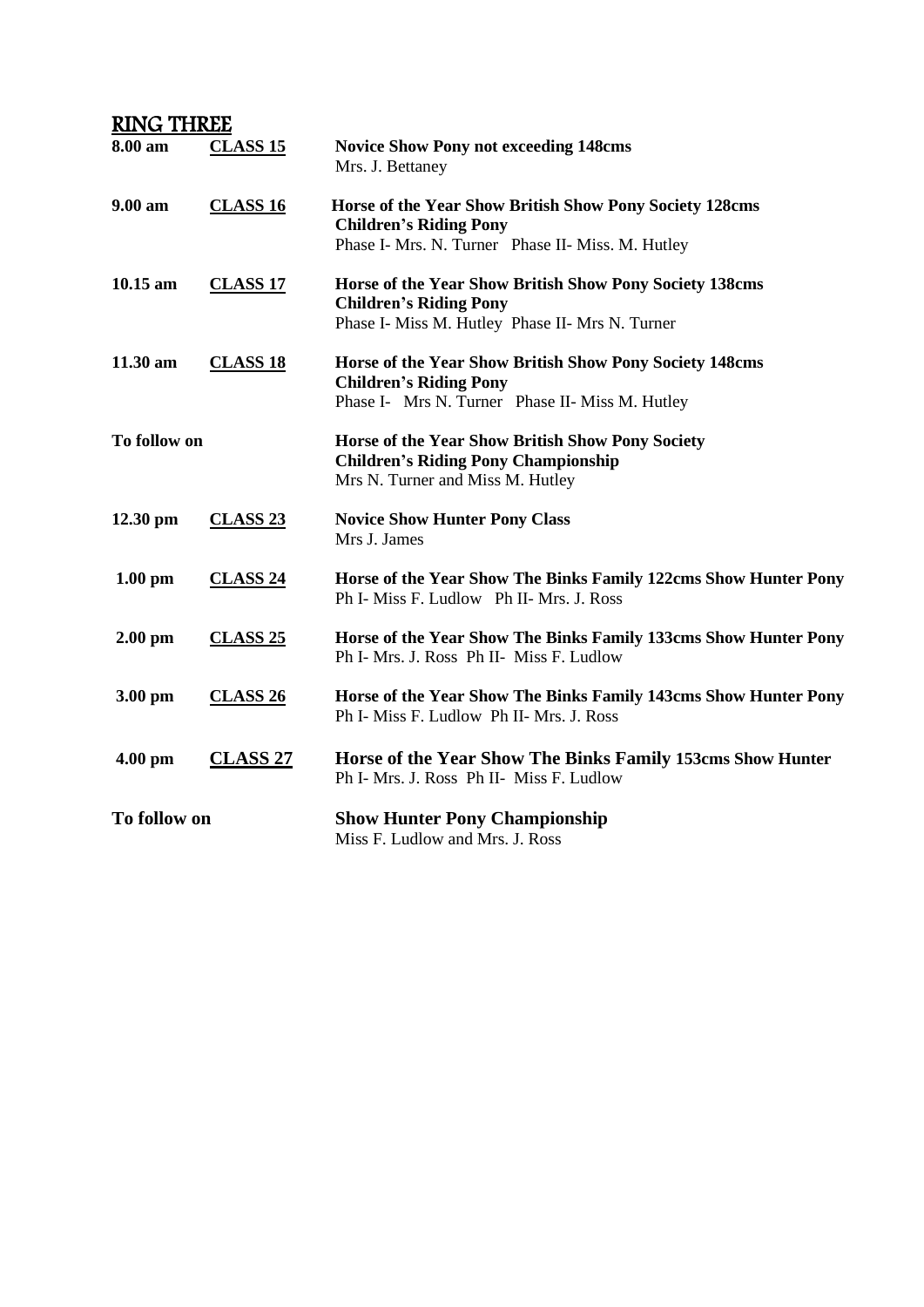| <b>RING THREE</b> |                     |                                                                                                                                               |
|-------------------|---------------------|-----------------------------------------------------------------------------------------------------------------------------------------------|
| 8.00 am           | <b>CLASS 15</b>     | <b>Novice Show Pony not exceeding 148cms</b><br>Mrs. J. Bettaney                                                                              |
| 9.00 am           | <b>CLASS 16</b>     | Horse of the Year Show British Show Pony Society 128cms<br><b>Children's Riding Pony</b><br>Phase I- Mrs. N. Turner Phase II- Miss. M. Hutley |
| $10.15$ am        | <b>CLASS 17</b>     | Horse of the Year Show British Show Pony Society 138cms<br><b>Children's Riding Pony</b><br>Phase I- Miss M. Hutley Phase II- Mrs N. Turner   |
| 11.30 am          | <b>CLASS 18</b>     | Horse of the Year Show British Show Pony Society 148cms<br><b>Children's Riding Pony</b><br>Phase I- Mrs N. Turner Phase II- Miss M. Hutley   |
| To follow on      |                     | Horse of the Year Show British Show Pony Society<br><b>Children's Riding Pony Championship</b><br>Mrs N. Turner and Miss M. Hutley            |
| $12.30$ pm        | <b>CLASS 23</b>     | <b>Novice Show Hunter Pony Class</b><br>Mrs J. James                                                                                          |
| $1.00$ pm         | <b>CLASS 24</b>     | Horse of the Year Show The Binks Family 122cms Show Hunter Pony<br>Ph I- Miss F. Ludlow Ph II- Mrs. J. Ross                                   |
| $2.00$ pm         | <b>CLASS 25</b>     | Horse of the Year Show The Binks Family 133cms Show Hunter Pony<br>Ph I- Mrs. J. Ross Ph II- Miss F. Ludlow                                   |
| 3.00 pm           | CLASS <sub>26</sub> | Horse of the Year Show The Binks Family 143cms Show Hunter Pony<br>Ph I- Miss F. Ludlow Ph II- Mrs. J. Ross                                   |
| $4.00$ pm         | <b>CLASS 27</b>     | Horse of the Year Show The Binks Family 153cms Show Hunter<br>Ph I- Mrs. J. Ross Ph II- Miss F. Ludlow                                        |
| To follow on      |                     | <b>Show Hunter Pony Championship</b><br>Miss F. Ludlow and Mrs. J. Ross                                                                       |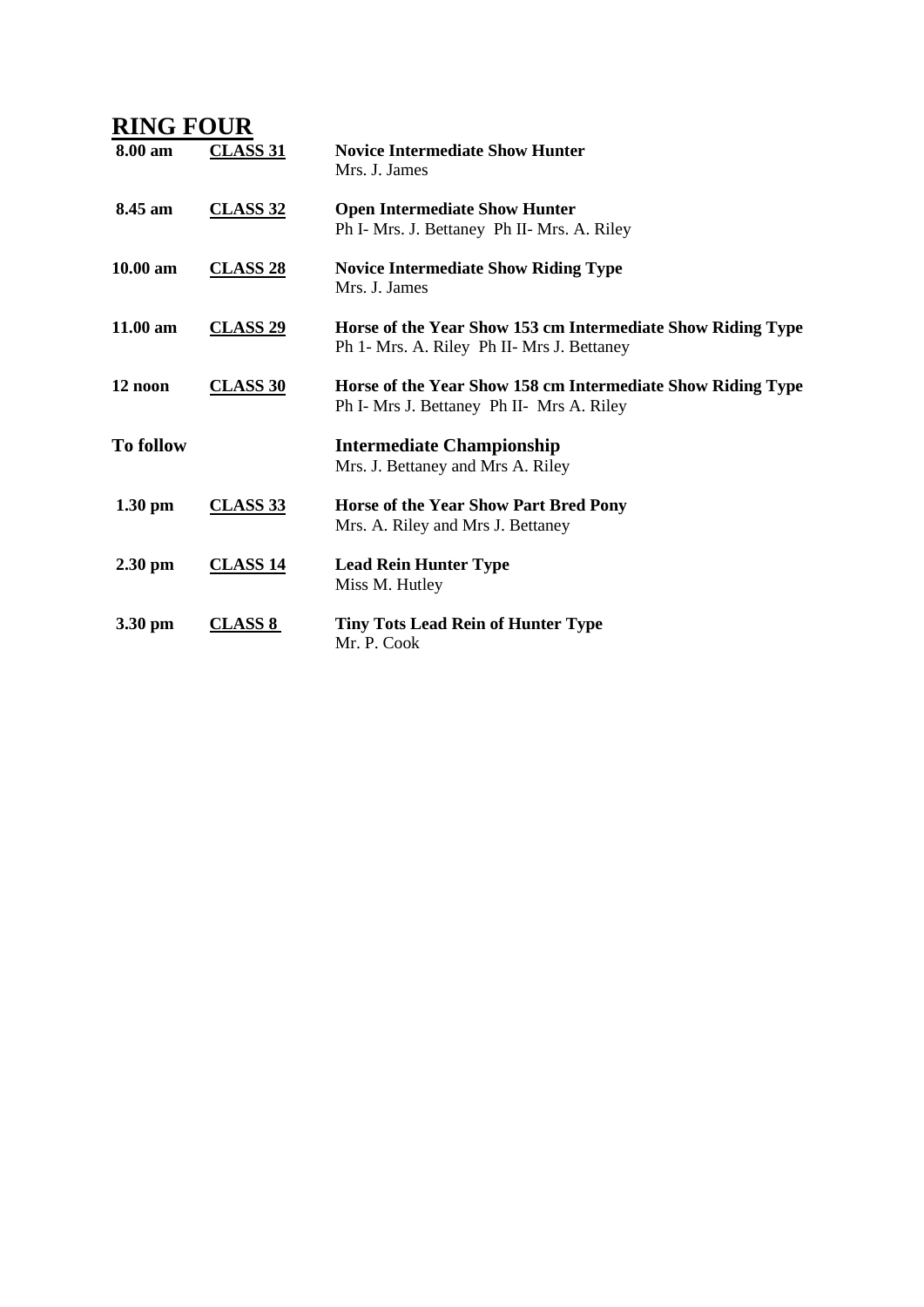|                   | <b>RING FOUR</b>    |                                                                                                           |  |  |  |
|-------------------|---------------------|-----------------------------------------------------------------------------------------------------------|--|--|--|
| 8.00 am           | <b>CLASS 31</b>     | <b>Novice Intermediate Show Hunter</b><br>Mrs. J. James                                                   |  |  |  |
| 8.45 am           | <b>CLASS 32</b>     | <b>Open Intermediate Show Hunter</b><br>Ph I- Mrs. J. Bettaney Ph II- Mrs. A. Riley                       |  |  |  |
| 10.00 am          | <b>CLASS 28</b>     | <b>Novice Intermediate Show Riding Type</b><br>Mrs. J. James                                              |  |  |  |
| 11.00 am          | CLASS <sub>29</sub> | Horse of the Year Show 153 cm Intermediate Show Riding Type<br>Ph 1- Mrs. A. Riley Ph II- Mrs J. Bettaney |  |  |  |
| 12 noon           | <b>CLASS 30</b>     | Horse of the Year Show 158 cm Intermediate Show Riding Type<br>Ph I- Mrs J. Bettaney Ph II- Mrs A. Riley  |  |  |  |
| <b>To follow</b>  |                     | <b>Intermediate Championship</b><br>Mrs. J. Bettaney and Mrs A. Riley                                     |  |  |  |
| $1.30 \text{ pm}$ | <b>CLASS 33</b>     | Horse of the Year Show Part Bred Pony<br>Mrs. A. Riley and Mrs J. Bettaney                                |  |  |  |
| $2.30$ pm         | <b>CLASS 14</b>     | <b>Lead Rein Hunter Type</b><br>Miss M. Hutley                                                            |  |  |  |
| 3.30 pm           | <b>CLASS 8</b>      | <b>Tiny Tots Lead Rein of Hunter Type</b><br>Mr. P. Cook                                                  |  |  |  |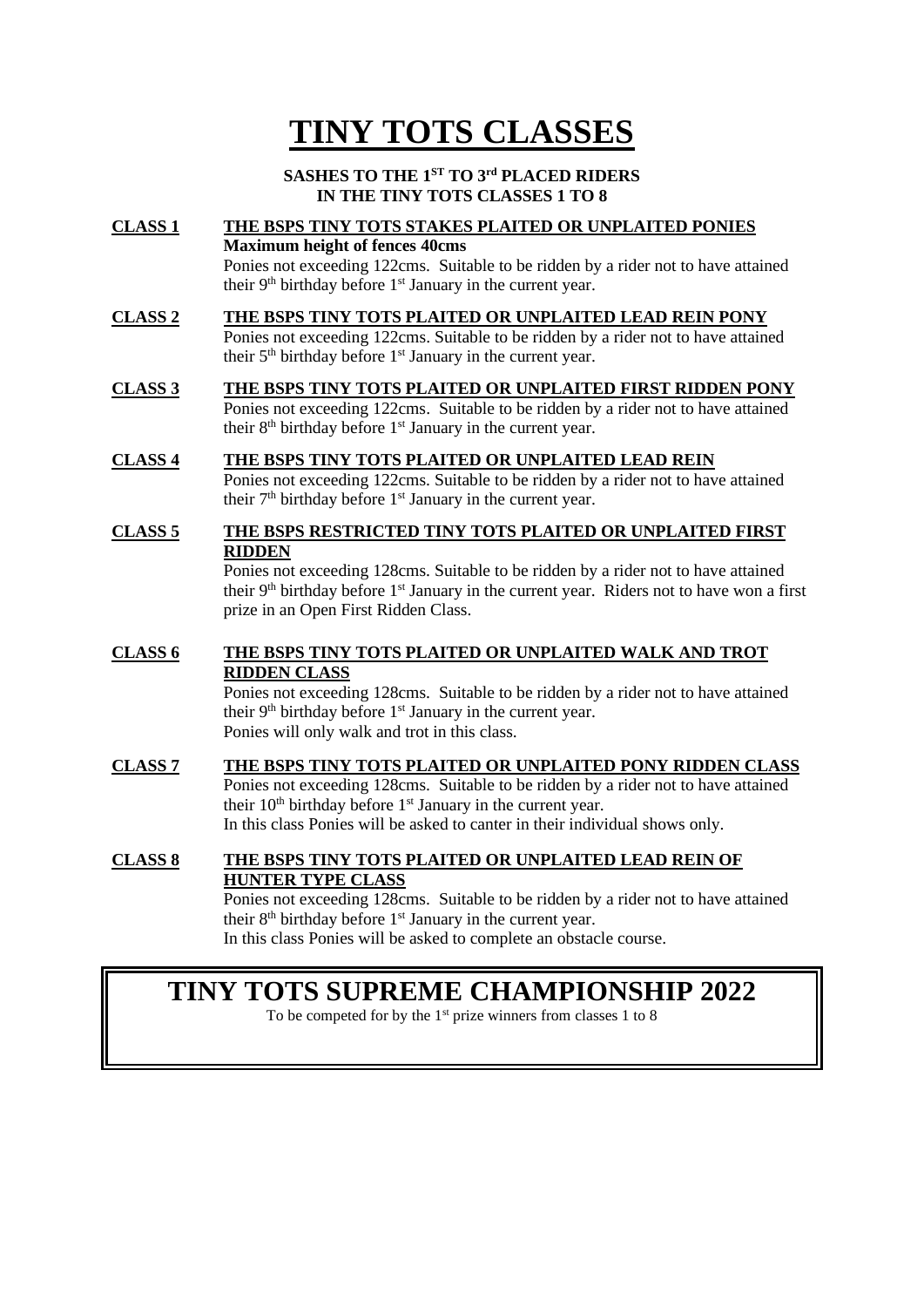# **TINY TOTS CLASSES**

#### **SASHES TO THE 1ST TO 3 rd PLACED RIDERS IN THE TINY TOTS CLASSES 1 TO 8**

### **CLASS 1 THE BSPS TINY TOTS STAKES PLAITED OR UNPLAITED PONIES Maximum height of fences 40cms**

Ponies not exceeding 122cms. Suitable to be ridden by a rider not to have attained their  $9<sup>th</sup>$  birthday before  $1<sup>st</sup>$  January in the current year.

### **CLASS 2 THE BSPS TINY TOTS PLAITED OR UNPLAITED LEAD REIN PONY**

Ponies not exceeding 122cms. Suitable to be ridden by a rider not to have attained their 5th birthday before 1st January in the current year.

#### **CLASS 3 THE BSPS TINY TOTS PLAITED OR UNPLAITED FIRST RIDDEN PONY**

Ponies not exceeding 122cms. Suitable to be ridden by a rider not to have attained their 8<sup>th</sup> birthday before 1<sup>st</sup> January in the current year.

#### **CLASS 4 THE BSPS TINY TOTS PLAITED OR UNPLAITED LEAD REIN**

Ponies not exceeding 122cms. Suitable to be ridden by a rider not to have attained their  $7<sup>th</sup>$  birthday before  $1<sup>st</sup>$  January in the current year.

#### **CLASS 5 THE BSPS RESTRICTED TINY TOTS PLAITED OR UNPLAITED FIRST RIDDEN**

Ponies not exceeding 128cms. Suitable to be ridden by a rider not to have attained their  $9<sup>th</sup>$  birthday before  $1<sup>st</sup>$  January in the current year. Riders not to have won a first prize in an Open First Ridden Class.

#### **CLASS 6 THE BSPS TINY TOTS PLAITED OR UNPLAITED WALK AND TROT RIDDEN CLASS**

Ponies not exceeding 128cms. Suitable to be ridden by a rider not to have attained their  $9<sup>th</sup>$  birthday before  $1<sup>st</sup>$  January in the current year. Ponies will only walk and trot in this class.

#### **CLASS 7 THE BSPS TINY TOTS PLAITED OR UNPLAITED PONY RIDDEN CLASS** Ponies not exceeding 128cms. Suitable to be ridden by a rider not to have attained their  $10<sup>th</sup>$  birthday before  $1<sup>st</sup>$  January in the current year. In this class Ponies will be asked to canter in their individual shows only.

#### **CLASS 8 THE BSPS TINY TOTS PLAITED OR UNPLAITED LEAD REIN OF HUNTER TYPE CLASS**

Ponies not exceeding 128cms. Suitable to be ridden by a rider not to have attained their  $8<sup>th</sup>$  birthday before  $1<sup>st</sup>$  January in the current year. In this class Ponies will be asked to complete an obstacle course.

### **TINY TOTS SUPREME CHAMPIONSHIP 2022**

To be competed for by the  $1<sup>st</sup>$  prize winners from classes 1 to 8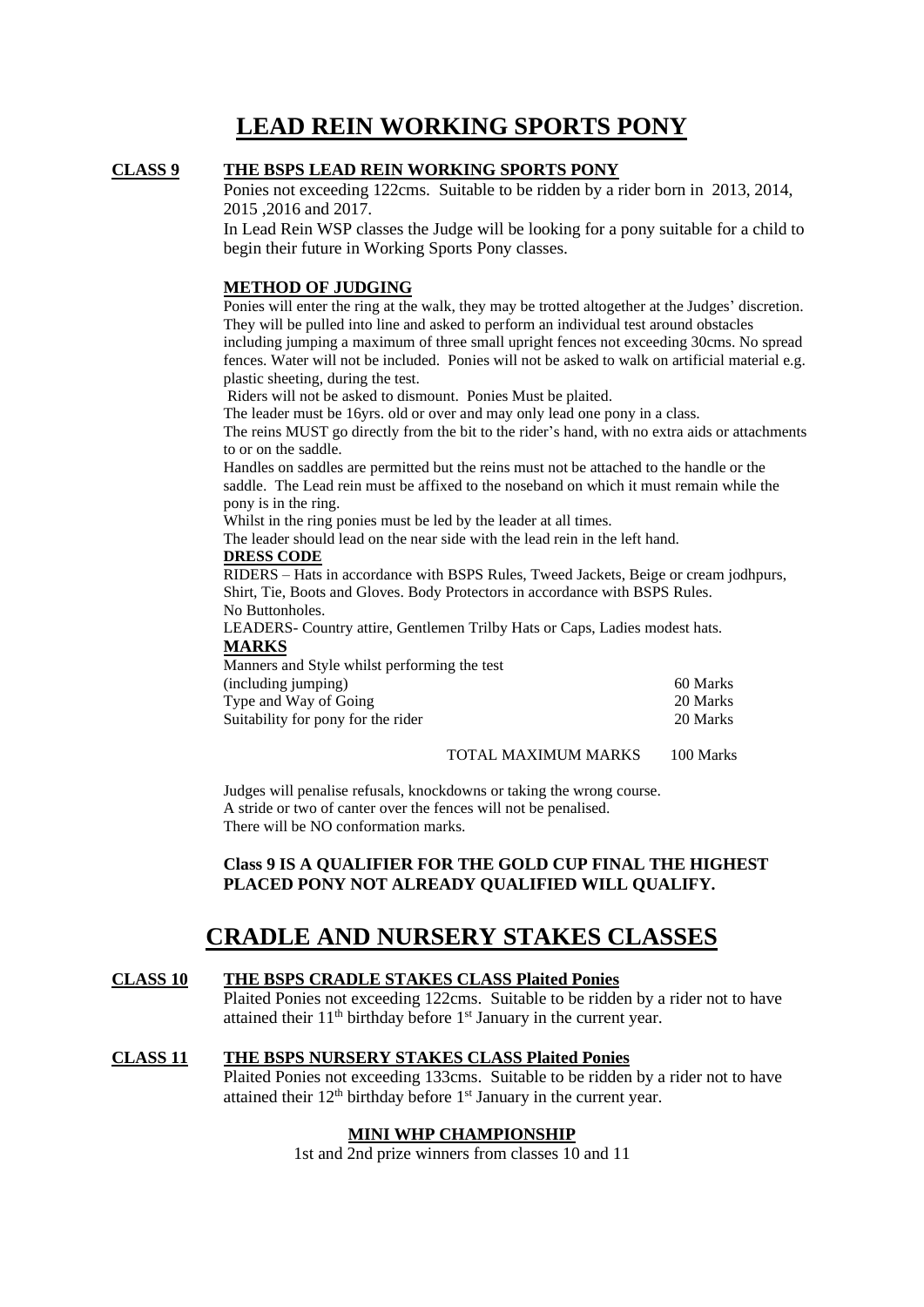### **LEAD REIN WORKING SPORTS PONY**

#### **CLASS 9 THE BSPS LEAD REIN WORKING SPORTS PONY**

Ponies not exceeding 122cms. Suitable to be ridden by a rider born in 2013, 2014, 2015 ,2016 and 2017.

In Lead Rein WSP classes the Judge will be looking for a pony suitable for a child to begin their future in Working Sports Pony classes.

#### **METHOD OF JUDGING**

Ponies will enter the ring at the walk, they may be trotted altogether at the Judges' discretion. They will be pulled into line and asked to perform an individual test around obstacles including jumping a maximum of three small upright fences not exceeding 30cms. No spread fences. Water will not be included. Ponies will not be asked to walk on artificial material e.g. plastic sheeting, during the test.

Riders will not be asked to dismount. Ponies Must be plaited.

The leader must be 16yrs. old or over and may only lead one pony in a class.

The reins MUST go directly from the bit to the rider's hand, with no extra aids or attachments to or on the saddle.

Handles on saddles are permitted but the reins must not be attached to the handle or the saddle. The Lead rein must be affixed to the noseband on which it must remain while the pony is in the ring.

Whilst in the ring ponies must be led by the leader at all times.

The leader should lead on the near side with the lead rein in the left hand.

#### **DRESS CODE**

RIDERS – Hats in accordance with BSPS Rules, Tweed Jackets, Beige or cream jodhpurs, Shirt, Tie, Boots and Gloves. Body Protectors in accordance with BSPS Rules. No Buttonholes.

LEADERS- Country attire, Gentlemen Trilby Hats or Caps, Ladies modest hats. **MARKS**

Manners and Style whilst performing the test (including jumping) 60 Marks Type and Way of Going 20 Marks 20 Marks Suitability for pony for the rider 20 Marks

#### TOTAL MAXIMUM MARKS 100 Marks

Judges will penalise refusals, knockdowns or taking the wrong course. A stride or two of canter over the fences will not be penalised. There will be NO conformation marks.

#### **Class 9 IS A QUALIFIER FOR THE GOLD CUP FINAL THE HIGHEST PLACED PONY NOT ALREADY QUALIFIED WILL QUALIFY.**

### **CRADLE AND NURSERY STAKES CLASSES**

#### **CLASS 10 THE BSPS CRADLE STAKES CLASS Plaited Ponies**

Plaited Ponies not exceeding 122cms. Suitable to be ridden by a rider not to have attained their  $11<sup>th</sup>$  birthday before  $1<sup>st</sup>$  January in the current year.

#### **CLASS 11 THE BSPS NURSERY STAKES CLASS Plaited Ponies**

Plaited Ponies not exceeding 133cms. Suitable to be ridden by a rider not to have attained their  $12<sup>th</sup>$  birthday before  $1<sup>st</sup>$  January in the current year.

#### **MINI WHP CHAMPIONSHIP**

1st and 2nd prize winners from classes 10 and 11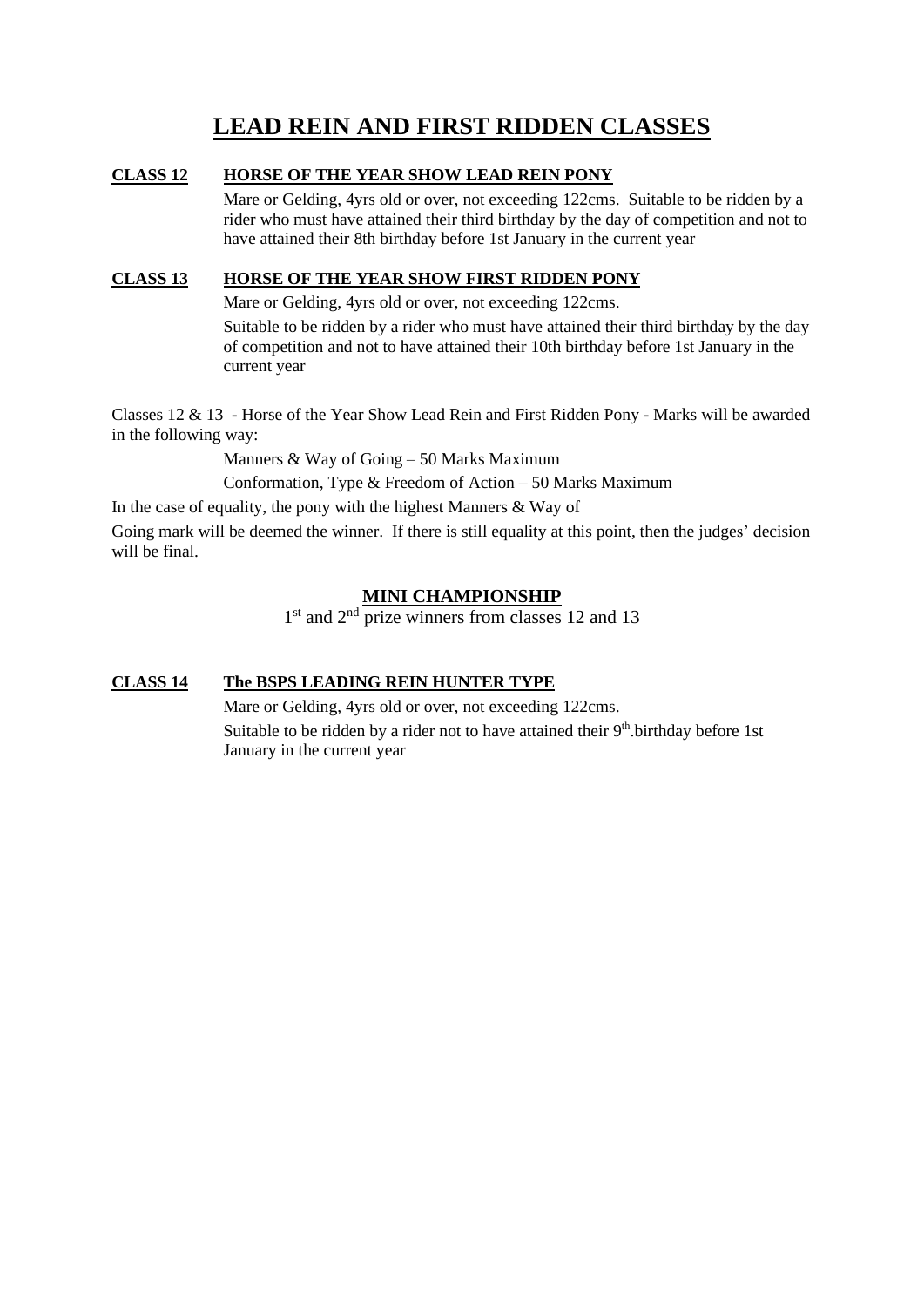### **LEAD REIN AND FIRST RIDDEN CLASSES**

#### **CLASS 12 HORSE OF THE YEAR SHOW LEAD REIN PONY**

Mare or Gelding, 4yrs old or over, not exceeding 122cms. Suitable to be ridden by a rider who must have attained their third birthday by the day of competition and not to have attained their 8th birthday before 1st January in the current year

#### **CLASS 13 HORSE OF THE YEAR SHOW FIRST RIDDEN PONY**

Mare or Gelding, 4yrs old or over, not exceeding 122cms.

Suitable to be ridden by a rider who must have attained their third birthday by the day of competition and not to have attained their 10th birthday before 1st January in the current year

Classes 12 & 13 - Horse of the Year Show Lead Rein and First Ridden Pony - Marks will be awarded in the following way:

Manners & Way of Going – 50 Marks Maximum

Conformation, Type & Freedom of Action – 50 Marks Maximum

In the case of equality, the pony with the highest Manners  $\&$  Way of

Going mark will be deemed the winner. If there is still equality at this point, then the judges' decision will be final.

#### **MINI CHAMPIONSHIP**

1<sup>st</sup> and 2<sup>nd</sup> prize winners from classes 12 and 13

#### **CLASS 14 The BSPS LEADING REIN HUNTER TYPE**

Mare or Gelding, 4yrs old or over, not exceeding 122cms.

Suitable to be ridden by a rider not to have attained their 9<sup>th</sup>. birthday before 1st January in the current year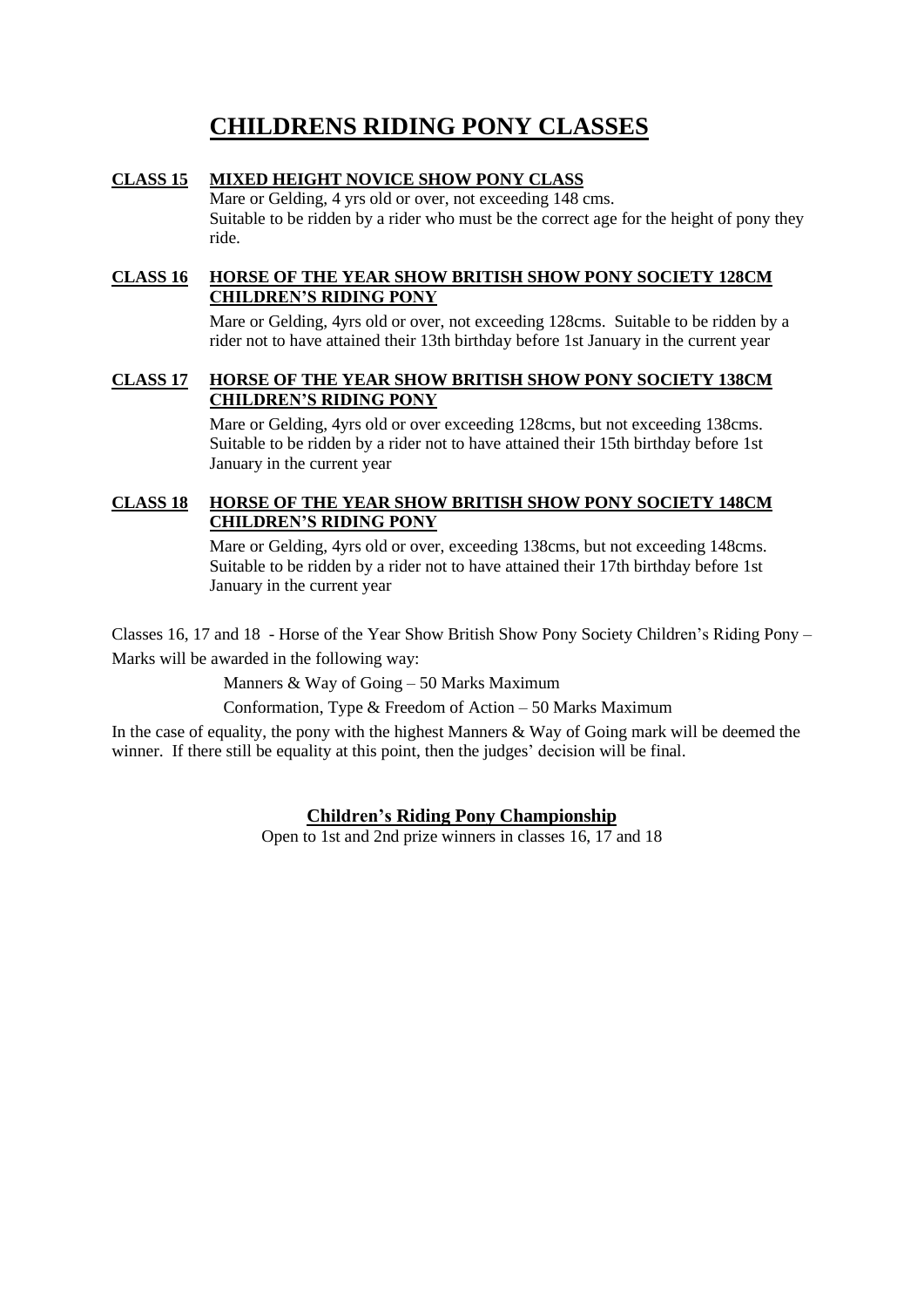### **CHILDRENS RIDING PONY CLASSES**

#### **CLASS 15 MIXED HEIGHT NOVICE SHOW PONY CLASS**

Mare or Gelding, 4 yrs old or over, not exceeding 148 cms. Suitable to be ridden by a rider who must be the correct age for the height of pony they ride.

#### **CLASS 16 HORSE OF THE YEAR SHOW BRITISH SHOW PONY SOCIETY 128CM CHILDREN'S RIDING PONY**

Mare or Gelding, 4yrs old or over, not exceeding 128cms. Suitable to be ridden by a rider not to have attained their 13th birthday before 1st January in the current year

#### **CLASS 17 HORSE OF THE YEAR SHOW BRITISH SHOW PONY SOCIETY 138CM CHILDREN'S RIDING PONY**

Mare or Gelding, 4yrs old or over exceeding 128cms, but not exceeding 138cms. Suitable to be ridden by a rider not to have attained their 15th birthday before 1st January in the current year

#### **CLASS 18 HORSE OF THE YEAR SHOW BRITISH SHOW PONY SOCIETY 148CM CHILDREN'S RIDING PONY**

Mare or Gelding, 4yrs old or over, exceeding 138cms, but not exceeding 148cms. Suitable to be ridden by a rider not to have attained their 17th birthday before 1st January in the current year

Classes 16, 17 and 18 - Horse of the Year Show British Show Pony Society Children's Riding Pony – Marks will be awarded in the following way:

Manners & Way of Going – 50 Marks Maximum

Conformation, Type & Freedom of Action – 50 Marks Maximum

In the case of equality, the pony with the highest Manners & Way of Going mark will be deemed the winner. If there still be equality at this point, then the judges' decision will be final.

#### **Children's Riding Pony Championship**

Open to 1st and 2nd prize winners in classes 16, 17 and 18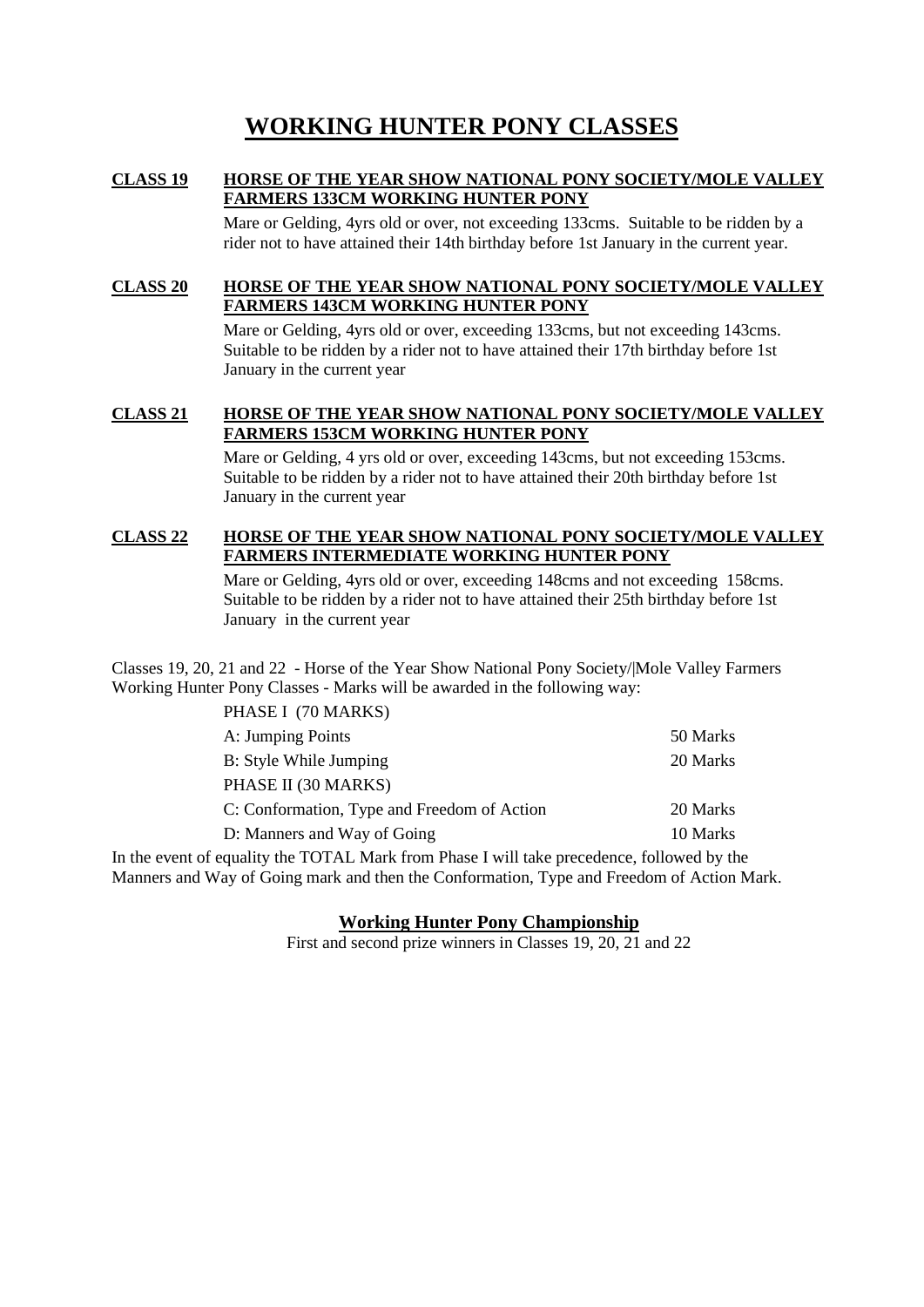### **WORKING HUNTER PONY CLASSES**

#### **CLASS 19 HORSE OF THE YEAR SHOW NATIONAL PONY SOCIETY/MOLE VALLEY FARMERS 133CM WORKING HUNTER PONY**

Mare or Gelding, 4yrs old or over, not exceeding 133cms. Suitable to be ridden by a rider not to have attained their 14th birthday before 1st January in the current year.

#### **CLASS 20 HORSE OF THE YEAR SHOW NATIONAL PONY SOCIETY/MOLE VALLEY FARMERS 143CM WORKING HUNTER PONY**

Mare or Gelding, 4yrs old or over, exceeding 133cms, but not exceeding 143cms. Suitable to be ridden by a rider not to have attained their 17th birthday before 1st January in the current year

#### **CLASS 21 HORSE OF THE YEAR SHOW NATIONAL PONY SOCIETY/MOLE VALLEY FARMERS 153CM WORKING HUNTER PONY**

Mare or Gelding, 4 yrs old or over, exceeding 143cms, but not exceeding 153cms. Suitable to be ridden by a rider not to have attained their 20th birthday before 1st January in the current year

#### **CLASS 22 HORSE OF THE YEAR SHOW NATIONAL PONY SOCIETY/MOLE VALLEY FARMERS INTERMEDIATE WORKING HUNTER PONY**

Mare or Gelding, 4yrs old or over, exceeding 148cms and not exceeding 158cms. Suitable to be ridden by a rider not to have attained their 25th birthday before 1st January in the current year

Classes 19, 20, 21 and 22 - Horse of the Year Show National Pony Society/|Mole Valley Farmers Working Hunter Pony Classes - Marks will be awarded in the following way:

| PHASE I (70 MARKS)                          |          |
|---------------------------------------------|----------|
| A: Jumping Points                           | 50 Marks |
| B: Style While Jumping                      | 20 Marks |
| PHASE II (30 MARKS)                         |          |
| C: Conformation, Type and Freedom of Action | 20 Marks |
| D: Manners and Way of Going                 | 10 Marks |

In the event of equality the TOTAL Mark from Phase I will take precedence, followed by the Manners and Way of Going mark and then the Conformation, Type and Freedom of Action Mark.

#### **Working Hunter Pony Championship**

First and second prize winners in Classes 19, 20, 21 and 22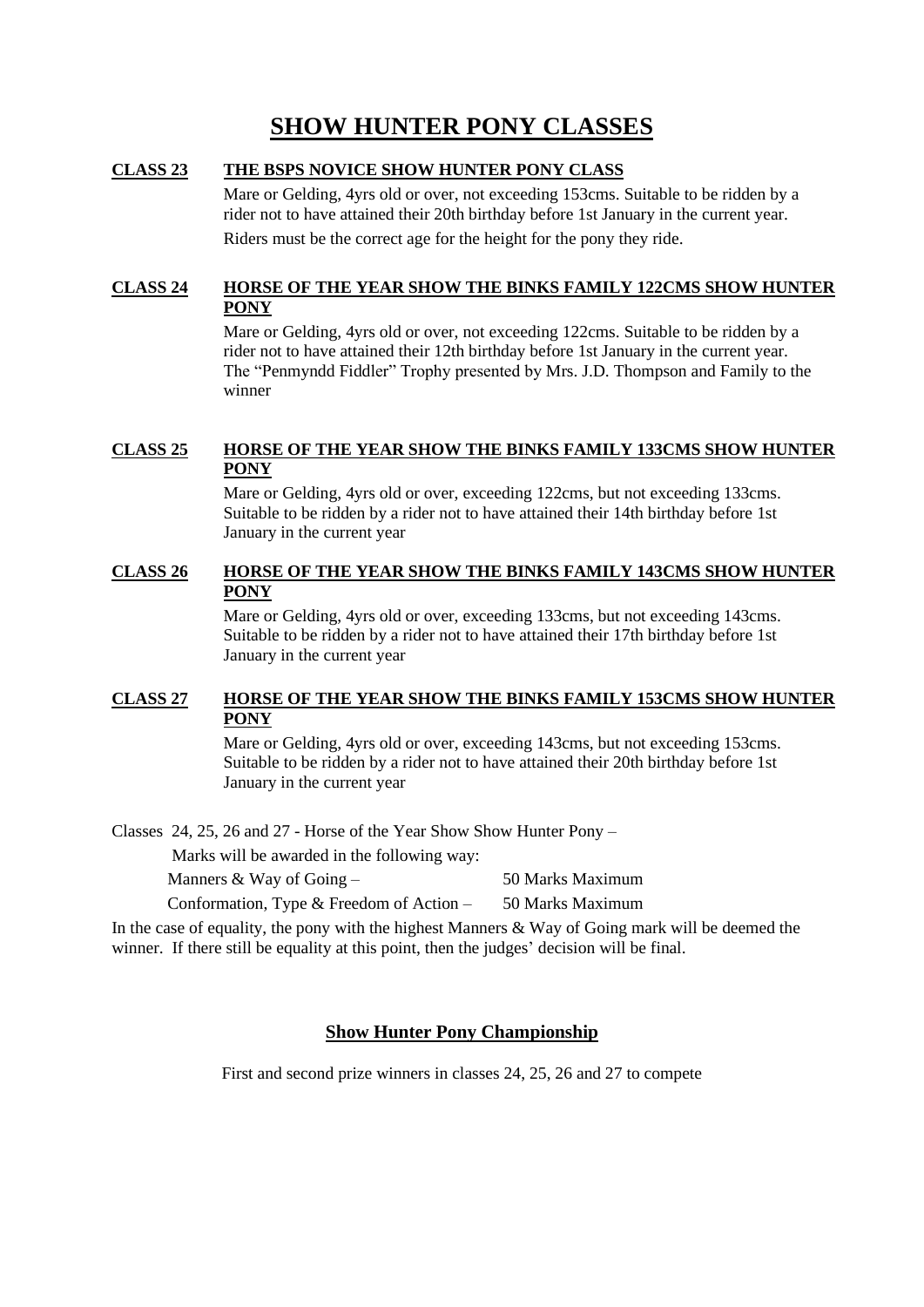### **SHOW HUNTER PONY CLASSES**

#### **CLASS 23 THE BSPS NOVICE SHOW HUNTER PONY CLASS**

Mare or Gelding, 4yrs old or over, not exceeding 153cms. Suitable to be ridden by a rider not to have attained their 20th birthday before 1st January in the current year. Riders must be the correct age for the height for the pony they ride.

#### **CLASS 24 HORSE OF THE YEAR SHOW THE BINKS FAMILY 122CMS SHOW HUNTER PONY**

Mare or Gelding, 4yrs old or over, not exceeding 122cms. Suitable to be ridden by a rider not to have attained their 12th birthday before 1st January in the current year. The "Penmyndd Fiddler" Trophy presented by Mrs. J.D. Thompson and Family to the winner

#### **CLASS 25 HORSE OF THE YEAR SHOW THE BINKS FAMILY 133CMS SHOW HUNTER PONY**

Mare or Gelding, 4yrs old or over, exceeding 122cms, but not exceeding 133cms. Suitable to be ridden by a rider not to have attained their 14th birthday before 1st January in the current year

#### **CLASS 26 HORSE OF THE YEAR SHOW THE BINKS FAMILY 143CMS SHOW HUNTER PONY**

Mare or Gelding, 4yrs old or over, exceeding 133cms, but not exceeding 143cms. Suitable to be ridden by a rider not to have attained their 17th birthday before 1st January in the current year

#### **CLASS 27 HORSE OF THE YEAR SHOW THE BINKS FAMILY 153CMS SHOW HUNTER PONY**

Mare or Gelding, 4yrs old or over, exceeding 143cms, but not exceeding 153cms. Suitable to be ridden by a rider not to have attained their 20th birthday before 1st January in the current year

Classes 24, 25, 26 and 27 - Horse of the Year Show Show Hunter Pony –

Marks will be awarded in the following way:

| Manners & Way of Going $-$                  | 50 Marks Maximum |
|---------------------------------------------|------------------|
| Conformation, Type $\&$ Freedom of Action – | 50 Marks Maximum |

In the case of equality, the pony with the highest Manners  $\&$  Way of Going mark will be deemed the winner. If there still be equality at this point, then the judges' decision will be final.

#### **Show Hunter Pony Championship**

First and second prize winners in classes 24, 25, 26 and 27 to compete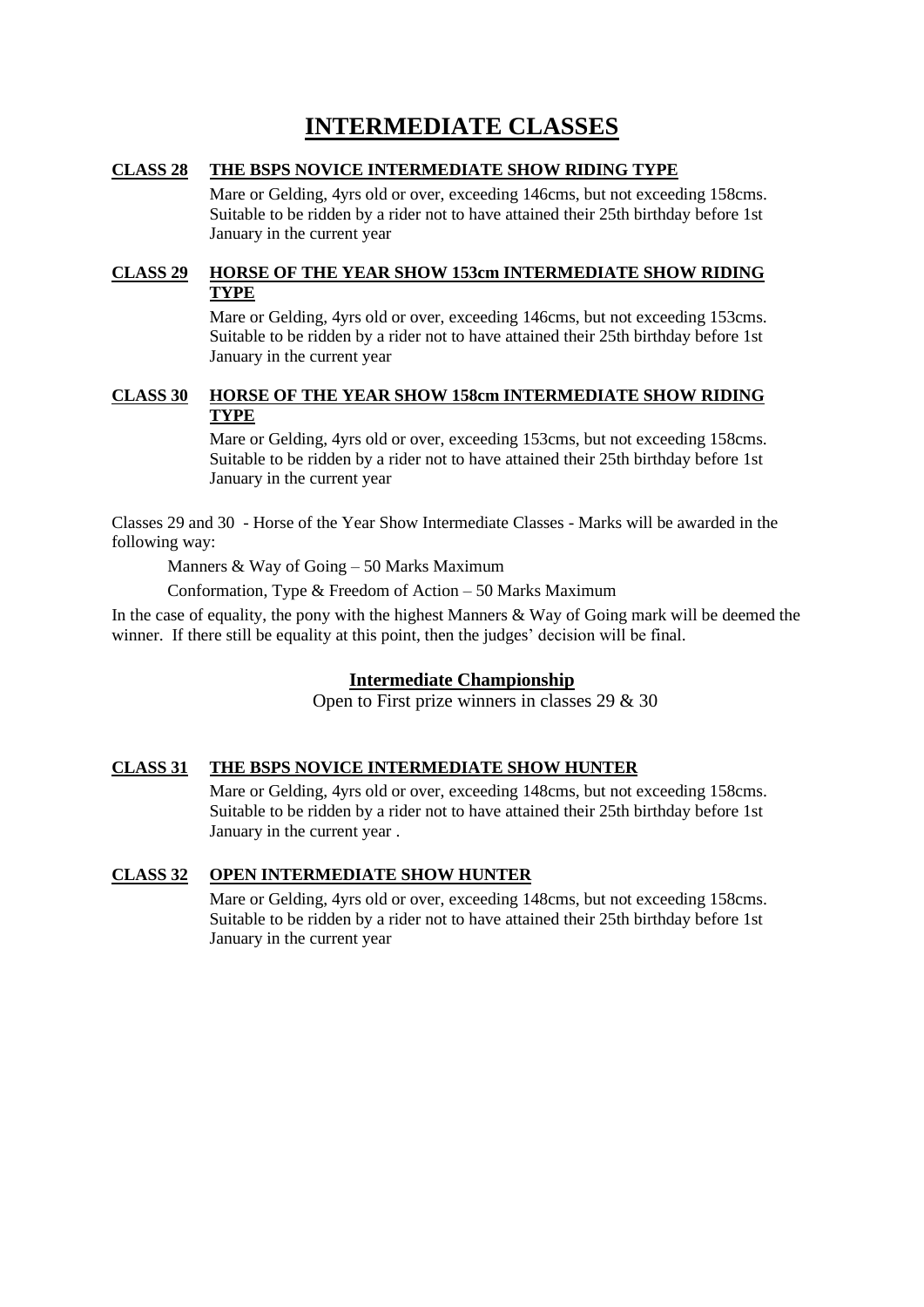### **INTERMEDIATE CLASSES**

#### **CLASS 28 THE BSPS NOVICE INTERMEDIATE SHOW RIDING TYPE**

Mare or Gelding, 4yrs old or over, exceeding 146cms, but not exceeding 158cms. Suitable to be ridden by a rider not to have attained their 25th birthday before 1st January in the current year

#### **CLASS 29 HORSE OF THE YEAR SHOW 153cm INTERMEDIATE SHOW RIDING TYPE**

Mare or Gelding, 4yrs old or over, exceeding 146cms, but not exceeding 153cms. Suitable to be ridden by a rider not to have attained their 25th birthday before 1st January in the current year

#### **CLASS 30 HORSE OF THE YEAR SHOW 158cm INTERMEDIATE SHOW RIDING TYPE**

Mare or Gelding, 4yrs old or over, exceeding 153cms, but not exceeding 158cms. Suitable to be ridden by a rider not to have attained their 25th birthday before 1st January in the current year

Classes 29 and 30 - Horse of the Year Show Intermediate Classes - Marks will be awarded in the following way:

Manners & Way of Going – 50 Marks Maximum

Conformation, Type & Freedom of Action – 50 Marks Maximum

In the case of equality, the pony with the highest Manners & Way of Going mark will be deemed the winner. If there still be equality at this point, then the judges' decision will be final.

#### **Intermediate Championship**

Open to First prize winners in classes 29 & 30

#### **CLASS 31 THE BSPS NOVICE INTERMEDIATE SHOW HUNTER**

Mare or Gelding, 4yrs old or over, exceeding 148cms, but not exceeding 158cms. Suitable to be ridden by a rider not to have attained their 25th birthday before 1st January in the current year .

#### **CLASS 32 OPEN INTERMEDIATE SHOW HUNTER**

Mare or Gelding, 4yrs old or over, exceeding 148cms, but not exceeding 158cms. Suitable to be ridden by a rider not to have attained their 25th birthday before 1st January in the current year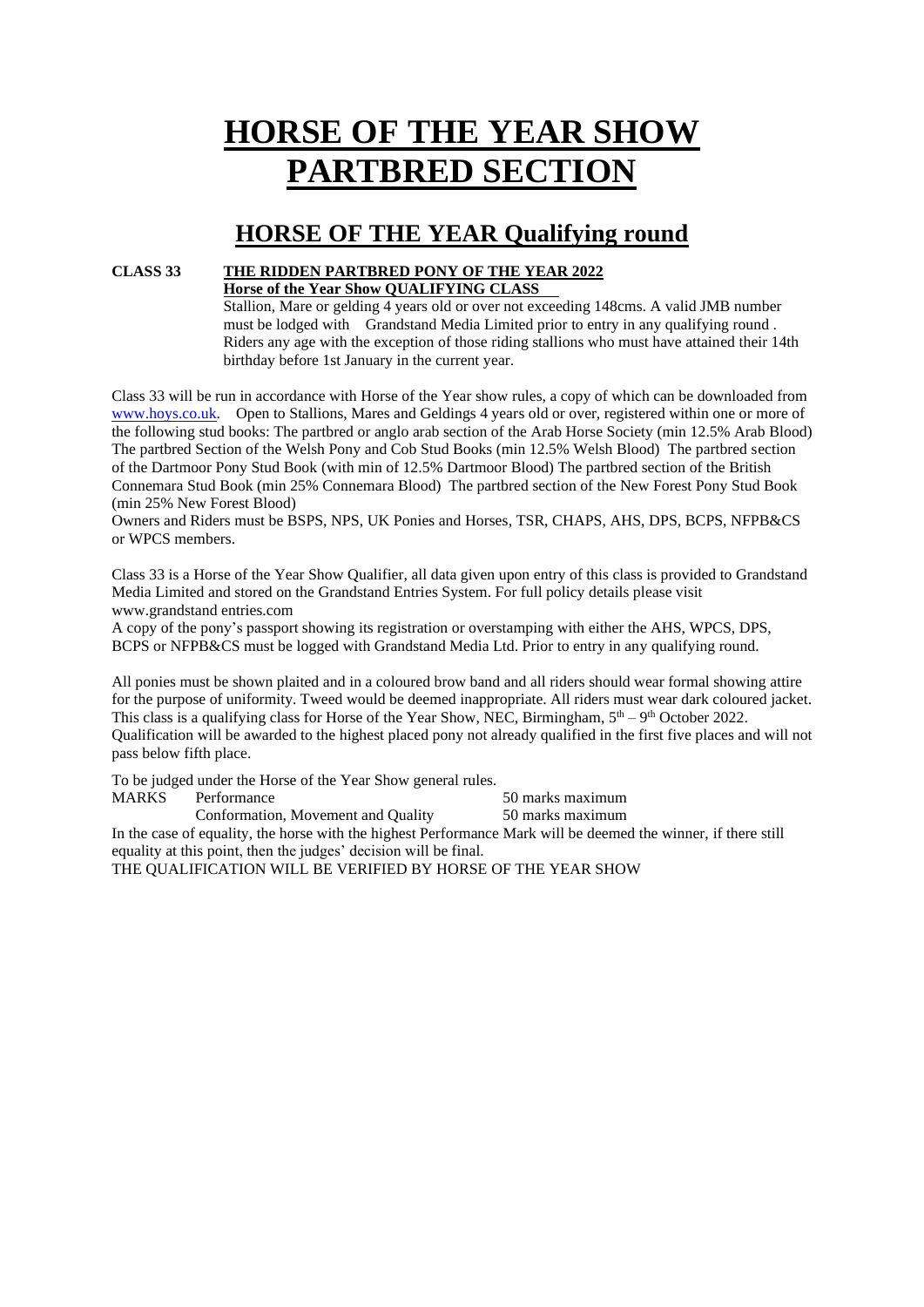# **HORSE OF THE YEAR SHOW PARTBRED SECTION**

### **HORSE OF THE YEAR Qualifying round**

#### **CLASS 33 THE RIDDEN PARTBRED PONY OF THE YEAR 2022 Horse of the Year Show QUALIFYING CLASS**

Stallion, Mare or gelding 4 years old or over not exceeding 148cms. A valid JMB number must be lodged with Grandstand Media Limited prior to entry in any qualifying round . Riders any age with the exception of those riding stallions who must have attained their 14th birthday before 1st January in the current year.

Class 33 will be run in accordance with Horse of the Year show rules, a copy of which can be downloaded from [www.hoys.co.uk.](http://www.hoys.co.uk/) Open to Stallions, Mares and Geldings 4 years old or over, registered within one or more of the following stud books: The partbred or anglo arab section of the Arab Horse Society (min 12.5% Arab Blood) The partbred Section of the Welsh Pony and Cob Stud Books (min 12.5% Welsh Blood) The partbred section of the Dartmoor Pony Stud Book (with min of 12.5% Dartmoor Blood) The partbred section of the British Connemara Stud Book (min 25% Connemara Blood) The partbred section of the New Forest Pony Stud Book (min 25% New Forest Blood)

Owners and Riders must be BSPS, NPS, UK Ponies and Horses, TSR, CHAPS, AHS, DPS, BCPS, NFPB&CS or WPCS members.

Class 33 is a Horse of the Year Show Qualifier, all data given upon entry of this class is provided to Grandstand Media Limited and stored on the Grandstand Entries System. For full policy details please visit www.grandstand entries.com

A copy of the pony's passport showing its registration or overstamping with either the AHS, WPCS, DPS, BCPS or NFPB&CS must be logged with Grandstand Media Ltd. Prior to entry in any qualifying round.

All ponies must be shown plaited and in a coloured brow band and all riders should wear formal showing attire for the purpose of uniformity. Tweed would be deemed inappropriate. All riders must wear dark coloured jacket. This class is a qualifying class for Horse of the Year Show, NEC, Birmingham,  $5<sup>th</sup> - 9<sup>th</sup>$  October 2022. Qualification will be awarded to the highest placed pony not already qualified in the first five places and will not pass below fifth place.

To be judged under the Horse of the Year Show general rules. MARKS Performance 50 marks maximum Conformation, Movement and Quality 50 marks maximum

In the case of equality, the horse with the highest Performance Mark will be deemed the winner, if there still equality at this point, then the judges' decision will be final.

THE QUALIFICATION WILL BE VERIFIED BY HORSE OF THE YEAR SHOW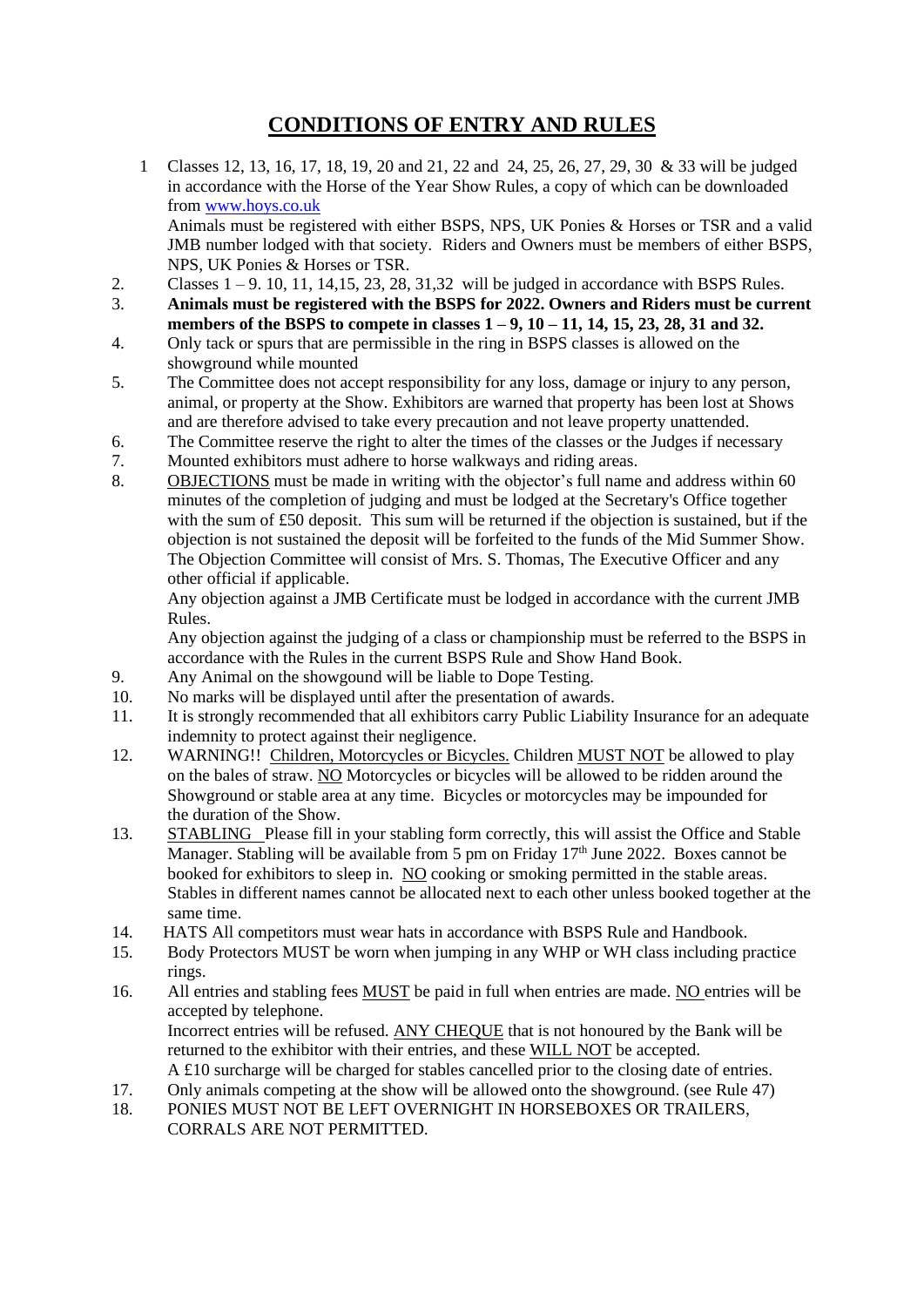### **CONDITIONS OF ENTRY AND RULES**

1 Classes 12, 13, 16, 17, 18, 19, 20 and 21, 22 and 24, 25, 26, 27, 29, 30 & 33 will be judged in accordance with the Horse of the Year Show Rules, a copy of which can be downloaded from [www.hoys.co.uk](http://www.hoys.co.uk/) Animals must be registered with either BSPS, NPS, UK Ponies & Horses or TSR and a valid

JMB number lodged with that society. Riders and Owners must be members of either BSPS, NPS, UK Ponies & Horses or TSR.

- 2. Classes  $1 9$ . 10, 11, 14, 15, 23, 28, 31, 32 will be judged in accordance with BSPS Rules.
- 3. **Animals must be registered with the BSPS for 2022. Owners and Riders must be current members of the BSPS to compete in classes 1 – 9, 10 – 11, 14, 15, 23, 28, 31 and 32.**
- 4. Only tack or spurs that are permissible in the ring in BSPS classes is allowed on the showground while mounted
- 5. The Committee does not accept responsibility for any loss, damage or injury to any person, animal, or property at the Show. Exhibitors are warned that property has been lost at Shows and are therefore advised to take every precaution and not leave property unattended.
- 6. The Committee reserve the right to alter the times of the classes or the Judges if necessary
- 7. Mounted exhibitors must adhere to horse walkways and riding areas.
- 8. OBJECTIONS must be made in writing with the objector's full name and address within 60 minutes of the completion of judging and must be lodged at the Secretary's Office together with the sum of £50 deposit. This sum will be returned if the objection is sustained, but if the objection is not sustained the deposit will be forfeited to the funds of the Mid Summer Show. The Objection Committee will consist of Mrs. S. Thomas, The Executive Officer and any other official if applicable.

 Any objection against a JMB Certificate must be lodged in accordance with the current JMB Rules.

Any objection against the judging of a class or championship must be referred to the BSPS in accordance with the Rules in the current BSPS Rule and Show Hand Book.

- 9. Any Animal on the showgound will be liable to Dope Testing.
- 10. No marks will be displayed until after the presentation of awards.
- 11. It is strongly recommended that all exhibitors carry Public Liability Insurance for an adequate indemnity to protect against their negligence.
- 12. WARNING!! Children, Motorcycles or Bicycles. Children MUST NOT be allowed to play on the bales of straw. NO Motorcycles or bicycles will be allowed to be ridden around the Showground or stable area at any time. Bicycles or motorcycles may be impounded for the duration of the Show.
- 13. STABLING Please fill in your stabling form correctly, this will assist the Office and Stable Manager. Stabling will be available from 5 pm on Friday  $17<sup>th</sup>$  June 2022. Boxes cannot be booked for exhibitors to sleep in. NO cooking or smoking permitted in the stable areas. Stables in different names cannot be allocated next to each other unless booked together at the same time.
- 14. HATS All competitors must wear hats in accordance with BSPS Rule and Handbook.
- 15. Body Protectors MUST be worn when jumping in any WHP or WH class including practice rings.
- 16. All entries and stabling fees **MUST** be paid in full when entries are made. NO entries will be accepted by telephone. Incorrect entries will be refused. ANY CHEQUE that is not honoured by the Bank will be returned to the exhibitor with their entries, and these WILL NOT be accepted. A £10 surcharge will be charged for stables cancelled prior to the closing date of entries.
- 17. Only animals competing at the show will be allowed onto the showground. (see Rule 47)
- 18. PONIES MUST NOT BE LEFT OVERNIGHT IN HORSEBOXES OR TRAILERS, CORRALS ARE NOT PERMITTED.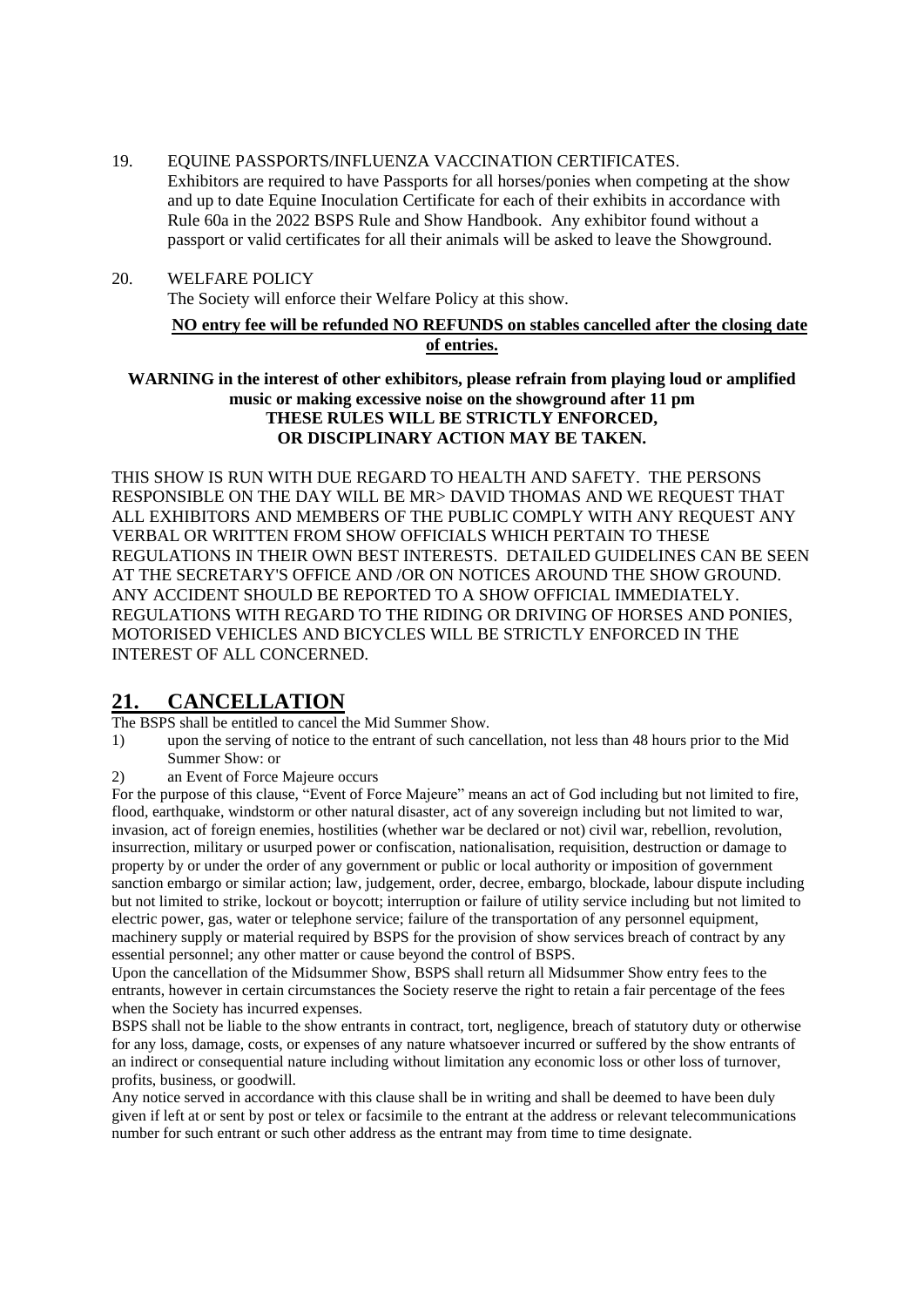- 19. EQUINE PASSPORTS/INFLUENZA VACCINATION CERTIFICATES.
	- Exhibitors are required to have Passports for all horses/ponies when competing at the show and up to date Equine Inoculation Certificate for each of their exhibits in accordance with Rule 60a in the 2022 BSPS Rule and Show Handbook. Any exhibitor found without a passport or valid certificates for all their animals will be asked to leave the Showground.
- 20. WELFARE POLICY

The Society will enforce their Welfare Policy at this show.

#### **NO entry fee will be refunded NO REFUNDS on stables cancelled after the closing date of entries.**

**WARNING in the interest of other exhibitors, please refrain from playing loud or amplified music or making excessive noise on the showground after 11 pm THESE RULES WILL BE STRICTLY ENFORCED, OR DISCIPLINARY ACTION MAY BE TAKEN.**

THIS SHOW IS RUN WITH DUE REGARD TO HEALTH AND SAFETY. THE PERSONS RESPONSIBLE ON THE DAY WILL BE MR> DAVID THOMAS AND WE REQUEST THAT ALL EXHIBITORS AND MEMBERS OF THE PUBLIC COMPLY WITH ANY REQUEST ANY VERBAL OR WRITTEN FROM SHOW OFFICIALS WHICH PERTAIN TO THESE REGULATIONS IN THEIR OWN BEST INTERESTS. DETAILED GUIDELINES CAN BE SEEN AT THE SECRETARY'S OFFICE AND /OR ON NOTICES AROUND THE SHOW GROUND. ANY ACCIDENT SHOULD BE REPORTED TO A SHOW OFFICIAL IMMEDIATELY. REGULATIONS WITH REGARD TO THE RIDING OR DRIVING OF HORSES AND PONIES, MOTORISED VEHICLES AND BICYCLES WILL BE STRICTLY ENFORCED IN THE INTEREST OF ALL CONCERNED.

### **21. CANCELLATION**

The BSPS shall be entitled to cancel the Mid Summer Show.

- 1) upon the serving of notice to the entrant of such cancellation, not less than 48 hours prior to the Mid Summer Show: or
- 2) an Event of Force Majeure occurs

For the purpose of this clause, "Event of Force Majeure" means an act of God including but not limited to fire, flood, earthquake, windstorm or other natural disaster, act of any sovereign including but not limited to war, invasion, act of foreign enemies, hostilities (whether war be declared or not) civil war, rebellion, revolution, insurrection, military or usurped power or confiscation, nationalisation, requisition, destruction or damage to property by or under the order of any government or public or local authority or imposition of government sanction embargo or similar action; law, judgement, order, decree, embargo, blockade, labour dispute including but not limited to strike, lockout or boycott; interruption or failure of utility service including but not limited to electric power, gas, water or telephone service; failure of the transportation of any personnel equipment, machinery supply or material required by BSPS for the provision of show services breach of contract by any essential personnel; any other matter or cause beyond the control of BSPS.

Upon the cancellation of the Midsummer Show, BSPS shall return all Midsummer Show entry fees to the entrants, however in certain circumstances the Society reserve the right to retain a fair percentage of the fees when the Society has incurred expenses.

BSPS shall not be liable to the show entrants in contract, tort, negligence, breach of statutory duty or otherwise for any loss, damage, costs, or expenses of any nature whatsoever incurred or suffered by the show entrants of an indirect or consequential nature including without limitation any economic loss or other loss of turnover, profits, business, or goodwill.

Any notice served in accordance with this clause shall be in writing and shall be deemed to have been duly given if left at or sent by post or telex or facsimile to the entrant at the address or relevant telecommunications number for such entrant or such other address as the entrant may from time to time designate.